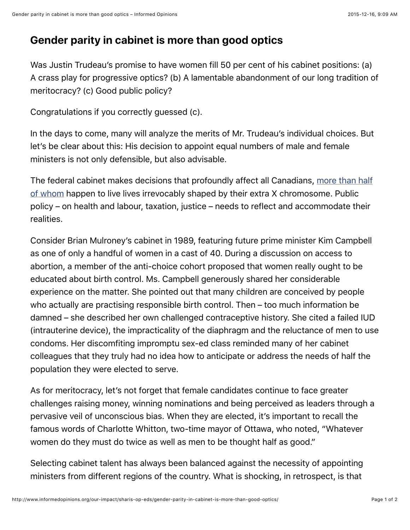## **Gender parity in cabinet is more than good optics**

Was Justin Trudeau's promise to have women fill 50 per cent of his cabinet positions: (a) A crass play for progressive optics? (b) A lamentable abandonment of our long tradition of meritocracy? (c) Good public policy?

Congratulations if you correctly guessed (c).

In the days to come, many will analyze the merits of Mr. Trudeau's individual choices. But let's be clear about this: His decision to appoint equal numbers of male and female ministers is not only defensible, but also advisable.

[The federal cabinet makes decisions that profoundly affect all Canadians, more than half](http://www.statcan.gc.ca/tables-tableaux/sum-som/l01/cst01/demo10a-eng.htm) of whom happen to live lives irrevocably shaped by their extra X chromosome. Public policy – on health and labour, taxation, justice – needs to reflect and accommodate their realities.

Consider Brian Mulroney's cabinet in 1989, featuring future prime minister Kim Campbell as one of only a handful of women in a cast of 40. During a discussion on access to abortion, a member of the anti-choice cohort proposed that women really ought to be educated about birth control. Ms. Campbell generously shared her considerable experience on the matter. She pointed out that many children are conceived by people who actually are practising responsible birth control. Then – too much information be damned – she described her own challenged contraceptive history. She cited a failed IUD (intrauterine device), the impracticality of the diaphragm and the reluctance of men to use condoms. Her discomfiting impromptu sex-ed class reminded many of her cabinet colleagues that they truly had no idea how to anticipate or address the needs of half the population they were elected to serve.

As for meritocracy, let's not forget that female candidates continue to face greater challenges raising money, winning nominations and being perceived as leaders through a pervasive veil of unconscious bias. When they are elected, it's important to recall the famous words of Charlotte Whitton, two-time mayor of Ottawa, who noted, "Whatever women do they must do twice as well as men to be thought half as good."

Selecting cabinet talent has always been balanced against the necessity of appointing ministers from different regions of the country. What is shocking, in retrospect, is that